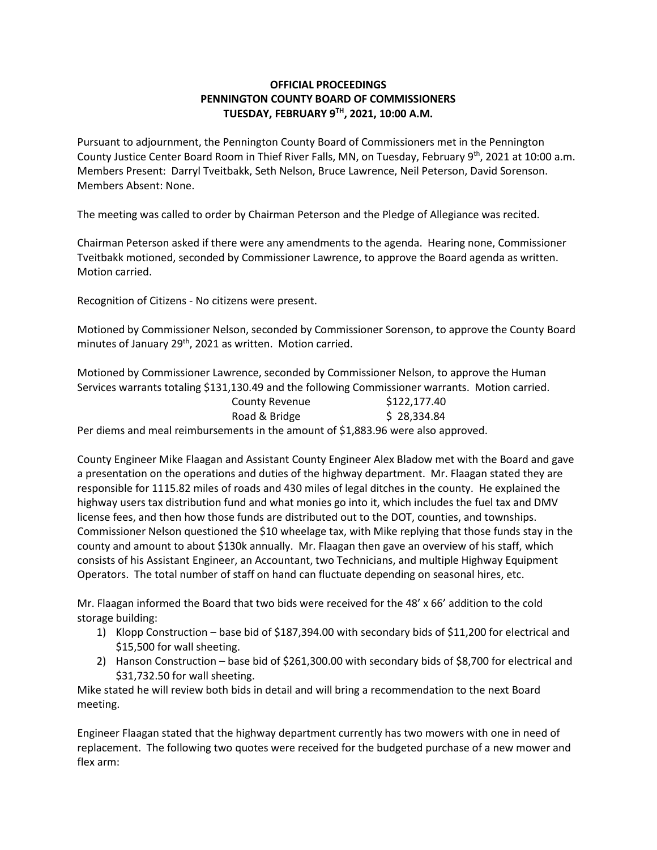## **OFFICIAL PROCEEDINGS PENNINGTON COUNTY BOARD OF COMMISSIONERS TUESDAY, FEBRUARY 9TH , 2021, 10:00 A.M.**

Pursuant to adjournment, the Pennington County Board of Commissioners met in the Pennington County Justice Center Board Room in Thief River Falls, MN, on Tuesday, February 9<sup>th</sup>, 2021 at 10:00 a.m. Members Present: Darryl Tveitbakk, Seth Nelson, Bruce Lawrence, Neil Peterson, David Sorenson. Members Absent: None.

The meeting was called to order by Chairman Peterson and the Pledge of Allegiance was recited.

Chairman Peterson asked if there were any amendments to the agenda. Hearing none, Commissioner Tveitbakk motioned, seconded by Commissioner Lawrence, to approve the Board agenda as written. Motion carried.

Recognition of Citizens - No citizens were present.

Motioned by Commissioner Nelson, seconded by Commissioner Sorenson, to approve the County Board minutes of January 29<sup>th</sup>, 2021 as written. Motion carried.

Road & Bridge \$ 28,334.84

Motioned by Commissioner Lawrence, seconded by Commissioner Nelson, to approve the Human Services warrants totaling \$131,130.49 and the following Commissioner warrants. Motion carried. County Revenue \$122,177.40

Per diems and meal reimbursements in the amount of \$1,883.96 were also approved.

County Engineer Mike Flaagan and Assistant County Engineer Alex Bladow met with the Board and gave a presentation on the operations and duties of the highway department. Mr. Flaagan stated they are responsible for 1115.82 miles of roads and 430 miles of legal ditches in the county. He explained the highway users tax distribution fund and what monies go into it, which includes the fuel tax and DMV license fees, and then how those funds are distributed out to the DOT, counties, and townships. Commissioner Nelson questioned the \$10 wheelage tax, with Mike replying that those funds stay in the county and amount to about \$130k annually. Mr. Flaagan then gave an overview of his staff, which consists of his Assistant Engineer, an Accountant, two Technicians, and multiple Highway Equipment Operators. The total number of staff on hand can fluctuate depending on seasonal hires, etc.

Mr. Flaagan informed the Board that two bids were received for the 48' x 66' addition to the cold storage building:

- 1) Klopp Construction base bid of \$187,394.00 with secondary bids of \$11,200 for electrical and \$15,500 for wall sheeting.
- 2) Hanson Construction base bid of \$261,300.00 with secondary bids of \$8,700 for electrical and \$31,732.50 for wall sheeting.

Mike stated he will review both bids in detail and will bring a recommendation to the next Board meeting.

Engineer Flaagan stated that the highway department currently has two mowers with one in need of replacement. The following two quotes were received for the budgeted purchase of a new mower and flex arm: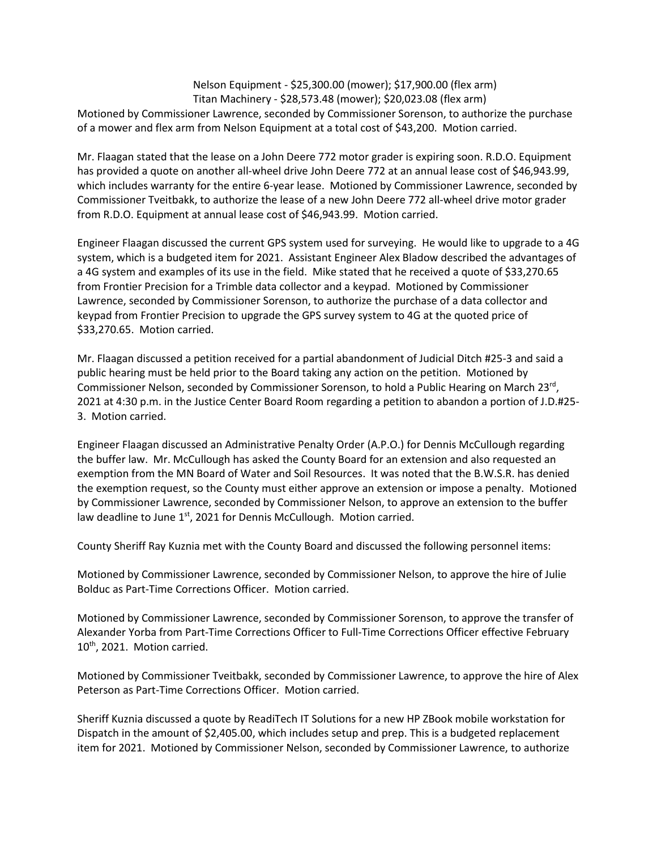Nelson Equipment - \$25,300.00 (mower); \$17,900.00 (flex arm) Titan Machinery - \$28,573.48 (mower); \$20,023.08 (flex arm)

Motioned by Commissioner Lawrence, seconded by Commissioner Sorenson, to authorize the purchase of a mower and flex arm from Nelson Equipment at a total cost of \$43,200. Motion carried.

Mr. Flaagan stated that the lease on a John Deere 772 motor grader is expiring soon. R.D.O. Equipment has provided a quote on another all-wheel drive John Deere 772 at an annual lease cost of \$46,943.99, which includes warranty for the entire 6-year lease. Motioned by Commissioner Lawrence, seconded by Commissioner Tveitbakk, to authorize the lease of a new John Deere 772 all-wheel drive motor grader from R.D.O. Equipment at annual lease cost of \$46,943.99. Motion carried.

Engineer Flaagan discussed the current GPS system used for surveying. He would like to upgrade to a 4G system, which is a budgeted item for 2021. Assistant Engineer Alex Bladow described the advantages of a 4G system and examples of its use in the field. Mike stated that he received a quote of \$33,270.65 from Frontier Precision for a Trimble data collector and a keypad. Motioned by Commissioner Lawrence, seconded by Commissioner Sorenson, to authorize the purchase of a data collector and keypad from Frontier Precision to upgrade the GPS survey system to 4G at the quoted price of \$33,270.65. Motion carried.

Mr. Flaagan discussed a petition received for a partial abandonment of Judicial Ditch #25-3 and said a public hearing must be held prior to the Board taking any action on the petition. Motioned by Commissioner Nelson, seconded by Commissioner Sorenson, to hold a Public Hearing on March 23<sup>rd</sup>, 2021 at 4:30 p.m. in the Justice Center Board Room regarding a petition to abandon a portion of J.D.#25- 3. Motion carried.

Engineer Flaagan discussed an Administrative Penalty Order (A.P.O.) for Dennis McCullough regarding the buffer law. Mr. McCullough has asked the County Board for an extension and also requested an exemption from the MN Board of Water and Soil Resources. It was noted that the B.W.S.R. has denied the exemption request, so the County must either approve an extension or impose a penalty. Motioned by Commissioner Lawrence, seconded by Commissioner Nelson, to approve an extension to the buffer law deadline to June 1<sup>st</sup>, 2021 for Dennis McCullough. Motion carried.

County Sheriff Ray Kuznia met with the County Board and discussed the following personnel items:

Motioned by Commissioner Lawrence, seconded by Commissioner Nelson, to approve the hire of Julie Bolduc as Part-Time Corrections Officer. Motion carried.

Motioned by Commissioner Lawrence, seconded by Commissioner Sorenson, to approve the transfer of Alexander Yorba from Part-Time Corrections Officer to Full-Time Corrections Officer effective February  $10<sup>th</sup>$ , 2021. Motion carried.

Motioned by Commissioner Tveitbakk, seconded by Commissioner Lawrence, to approve the hire of Alex Peterson as Part-Time Corrections Officer. Motion carried.

Sheriff Kuznia discussed a quote by ReadiTech IT Solutions for a new HP ZBook mobile workstation for Dispatch in the amount of \$2,405.00, which includes setup and prep. This is a budgeted replacement item for 2021. Motioned by Commissioner Nelson, seconded by Commissioner Lawrence, to authorize